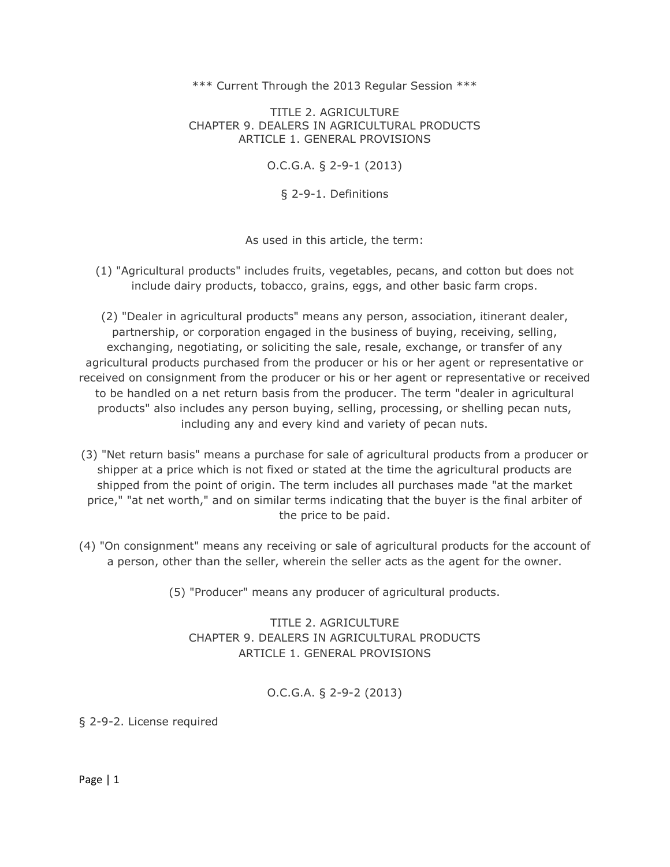#### \*\*\* Current Through the 2013 Regular Session \*\*\*

TITLE 2. AGRICULTURE CHAPTER 9. DEALERS IN AGRICULTURAL PRODUCTS ARTICLE 1. GENERAL PROVISIONS

O.C.G.A. § 2-9-1 (2013)

§ 2-9-1. Definitions

As used in this article, the term:

(1) "Agricultural products" includes fruits, vegetables, pecans, and cotton but does not include dairy products, tobacco, grains, eggs, and other basic farm crops.

(2) "Dealer in agricultural products" means any person, association, itinerant dealer, partnership, or corporation engaged in the business of buying, receiving, selling, exchanging, negotiating, or soliciting the sale, resale, exchange, or transfer of any agricultural products purchased from the producer or his or her agent or representative or received on consignment from the producer or his or her agent or representative or received to be handled on a net return basis from the producer. The term "dealer in agricultural products" also includes any person buying, selling, processing, or shelling pecan nuts, including any and every kind and variety of pecan nuts.

- (3) "Net return basis" means a purchase for sale of agricultural products from a producer or shipper at a price which is not fixed or stated at the time the agricultural products are shipped from the point of origin. The term includes all purchases made "at the market price," "at net worth," and on similar terms indicating that the buyer is the final arbiter of the price to be paid.
- (4) "On consignment" means any receiving or sale of agricultural products for the account of a person, other than the seller, wherein the seller acts as the agent for the owner.
	- (5) "Producer" means any producer of agricultural products.

TITLE 2. AGRICULTURE CHAPTER 9. DEALERS IN AGRICULTURAL PRODUCTS ARTICLE 1. GENERAL PROVISIONS

O.C.G.A. § 2-9-2 (2013)

§ 2-9-2. License required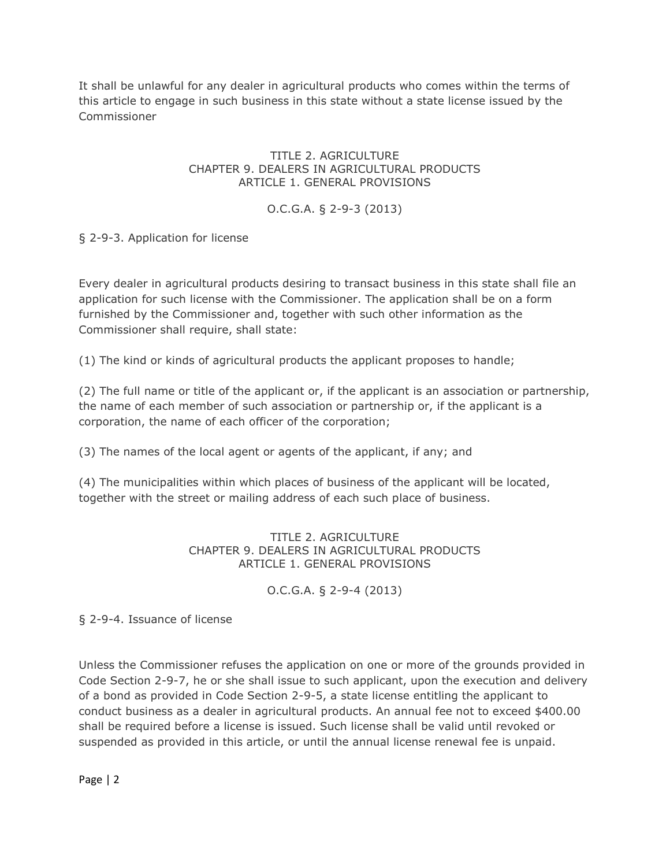It shall be unlawful for any dealer in agricultural products who comes within the terms of this article to engage in such business in this state without a state license issued by the Commissioner

### TITLE 2. AGRICULTURE CHAPTER 9. DEALERS IN AGRICULTURAL PRODUCTS ARTICLE 1. GENERAL PROVISIONS

## O.C.G.A. § 2-9-3 (2013)

### § 2-9-3. Application for license

Every dealer in agricultural products desiring to transact business in this state shall file an application for such license with the Commissioner. The application shall be on a form furnished by the Commissioner and, together with such other information as the Commissioner shall require, shall state:

(1) The kind or kinds of agricultural products the applicant proposes to handle;

(2) The full name or title of the applicant or, if the applicant is an association or partnership, the name of each member of such association or partnership or, if the applicant is a corporation, the name of each officer of the corporation;

(3) The names of the local agent or agents of the applicant, if any; and

(4) The municipalities within which places of business of the applicant will be located, together with the street or mailing address of each such place of business.

### TITLE 2. AGRICULTURE CHAPTER 9. DEALERS IN AGRICULTURAL PRODUCTS ARTICLE 1. GENERAL PROVISIONS

O.C.G.A. § 2-9-4 (2013)

§ 2-9-4. Issuance of license

Unless the Commissioner refuses the application on one or more of the grounds provided in Code Section 2-9-7, he or she shall issue to such applicant, upon the execution and delivery of a bond as provided in Code Section 2-9-5, a state license entitling the applicant to conduct business as a dealer in agricultural products. An annual fee not to exceed \$400.00 shall be required before a license is issued. Such license shall be valid until revoked or suspended as provided in this article, or until the annual license renewal fee is unpaid.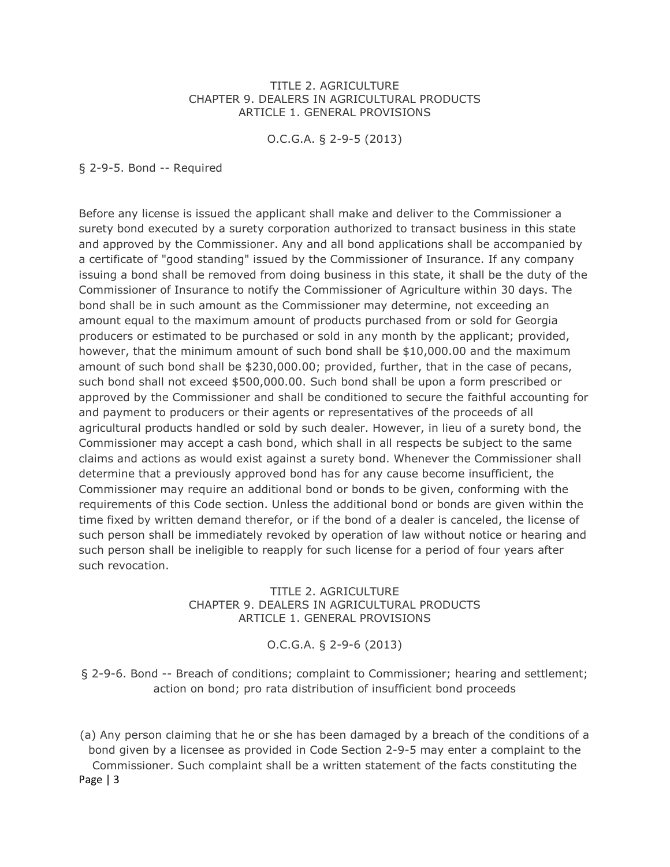#### TITLE 2. AGRICULTURE CHAPTER 9. DEALERS IN AGRICULTURAL PRODUCTS ARTICLE 1. GENERAL PROVISIONS

O.C.G.A. § 2-9-5 (2013)

§ 2-9-5. Bond -- Required

Before any license is issued the applicant shall make and deliver to the Commissioner a surety bond executed by a surety corporation authorized to transact business in this state and approved by the Commissioner. Any and all bond applications shall be accompanied by a certificate of "good standing" issued by the Commissioner of Insurance. If any company issuing a bond shall be removed from doing business in this state, it shall be the duty of the Commissioner of Insurance to notify the Commissioner of Agriculture within 30 days. The bond shall be in such amount as the Commissioner may determine, not exceeding an amount equal to the maximum amount of products purchased from or sold for Georgia producers or estimated to be purchased or sold in any month by the applicant; provided, however, that the minimum amount of such bond shall be \$10,000.00 and the maximum amount of such bond shall be \$230,000.00; provided, further, that in the case of pecans, such bond shall not exceed \$500,000.00. Such bond shall be upon a form prescribed or approved by the Commissioner and shall be conditioned to secure the faithful accounting for and payment to producers or their agents or representatives of the proceeds of all agricultural products handled or sold by such dealer. However, in lieu of a surety bond, the Commissioner may accept a cash bond, which shall in all respects be subject to the same claims and actions as would exist against a surety bond. Whenever the Commissioner shall determine that a previously approved bond has for any cause become insufficient, the Commissioner may require an additional bond or bonds to be given, conforming with the requirements of this Code section. Unless the additional bond or bonds are given within the time fixed by written demand therefor, or if the bond of a dealer is canceled, the license of such person shall be immediately revoked by operation of law without notice or hearing and such person shall be ineligible to reapply for such license for a period of four years after such revocation.

#### TITLE 2. AGRICULTURE CHAPTER 9. DEALERS IN AGRICULTURAL PRODUCTS ARTICLE 1. GENERAL PROVISIONS

O.C.G.A. § 2-9-6 (2013)

§ 2-9-6. Bond -- Breach of conditions; complaint to Commissioner; hearing and settlement; action on bond; pro rata distribution of insufficient bond proceeds

Page | 3 (a) Any person claiming that he or she has been damaged by a breach of the conditions of a bond given by a licensee as provided in Code Section 2-9-5 may enter a complaint to the Commissioner. Such complaint shall be a written statement of the facts constituting the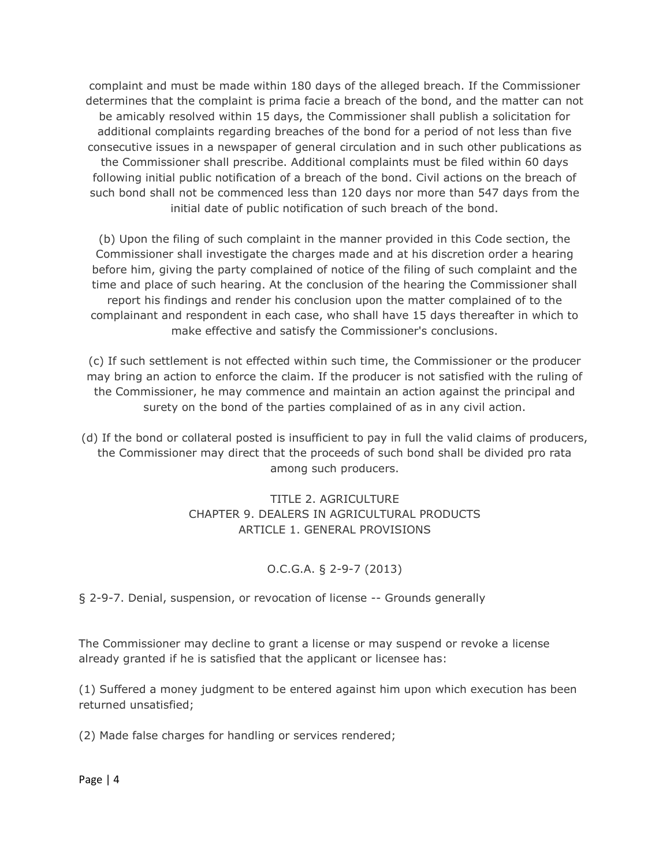complaint and must be made within 180 days of the alleged breach. If the Commissioner determines that the complaint is prima facie a breach of the bond, and the matter can not be amicably resolved within 15 days, the Commissioner shall publish a solicitation for additional complaints regarding breaches of the bond for a period of not less than five consecutive issues in a newspaper of general circulation and in such other publications as the Commissioner shall prescribe. Additional complaints must be filed within 60 days following initial public notification of a breach of the bond. Civil actions on the breach of such bond shall not be commenced less than 120 days nor more than 547 days from the initial date of public notification of such breach of the bond.

(b) Upon the filing of such complaint in the manner provided in this Code section, the Commissioner shall investigate the charges made and at his discretion order a hearing before him, giving the party complained of notice of the filing of such complaint and the time and place of such hearing. At the conclusion of the hearing the Commissioner shall report his findings and render his conclusion upon the matter complained of to the complainant and respondent in each case, who shall have 15 days thereafter in which to make effective and satisfy the Commissioner's conclusions.

(c) If such settlement is not effected within such time, the Commissioner or the producer may bring an action to enforce the claim. If the producer is not satisfied with the ruling of the Commissioner, he may commence and maintain an action against the principal and surety on the bond of the parties complained of as in any civil action.

(d) If the bond or collateral posted is insufficient to pay in full the valid claims of producers, the Commissioner may direct that the proceeds of such bond shall be divided pro rata among such producers.

> TITLE 2. AGRICULTURE CHAPTER 9. DEALERS IN AGRICULTURAL PRODUCTS ARTICLE 1. GENERAL PROVISIONS

## O.C.G.A. § 2-9-7 (2013)

§ 2-9-7. Denial, suspension, or revocation of license -- Grounds generally

The Commissioner may decline to grant a license or may suspend or revoke a license already granted if he is satisfied that the applicant or licensee has:

(1) Suffered a money judgment to be entered against him upon which execution has been returned unsatisfied;

(2) Made false charges for handling or services rendered;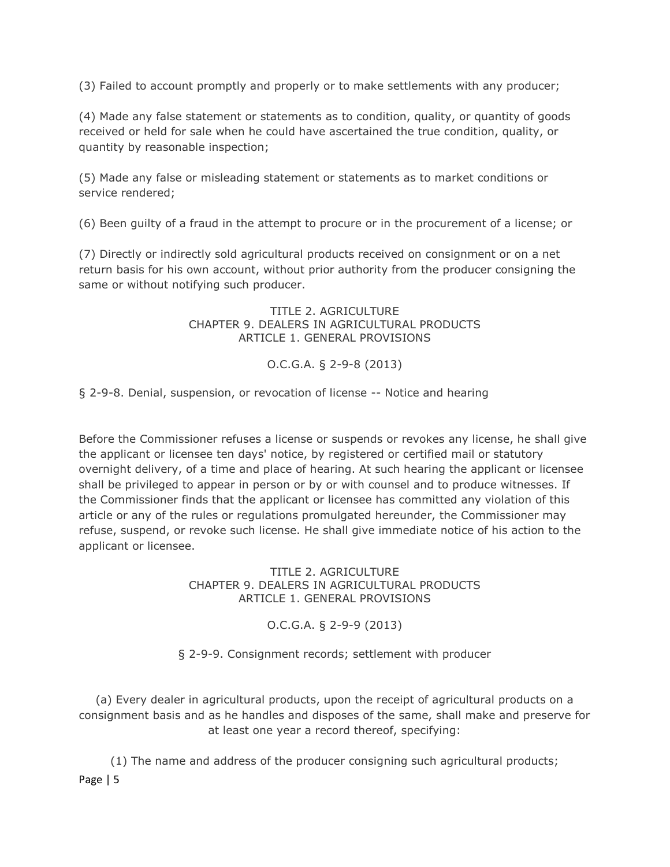(3) Failed to account promptly and properly or to make settlements with any producer;

(4) Made any false statement or statements as to condition, quality, or quantity of goods received or held for sale when he could have ascertained the true condition, quality, or quantity by reasonable inspection;

(5) Made any false or misleading statement or statements as to market conditions or service rendered;

(6) Been guilty of a fraud in the attempt to procure or in the procurement of a license; or

(7) Directly or indirectly sold agricultural products received on consignment or on a net return basis for his own account, without prior authority from the producer consigning the same or without notifying such producer.

> TITLE 2. AGRICULTURE CHAPTER 9. DEALERS IN AGRICULTURAL PRODUCTS ARTICLE 1. GENERAL PROVISIONS

### O.C.G.A. § 2-9-8 (2013)

§ 2-9-8. Denial, suspension, or revocation of license -- Notice and hearing

Before the Commissioner refuses a license or suspends or revokes any license, he shall give the applicant or licensee ten days' notice, by registered or certified mail or statutory overnight delivery, of a time and place of hearing. At such hearing the applicant or licensee shall be privileged to appear in person or by or with counsel and to produce witnesses. If the Commissioner finds that the applicant or licensee has committed any violation of this article or any of the rules or regulations promulgated hereunder, the Commissioner may refuse, suspend, or revoke such license. He shall give immediate notice of his action to the applicant or licensee.

> TITLE 2. AGRICULTURE CHAPTER 9. DEALERS IN AGRICULTURAL PRODUCTS ARTICLE 1. GENERAL PROVISIONS

> > O.C.G.A. § 2-9-9 (2013)

§ 2-9-9. Consignment records; settlement with producer

(a) Every dealer in agricultural products, upon the receipt of agricultural products on a consignment basis and as he handles and disposes of the same, shall make and preserve for at least one year a record thereof, specifying:

Page | 5 (1) The name and address of the producer consigning such agricultural products;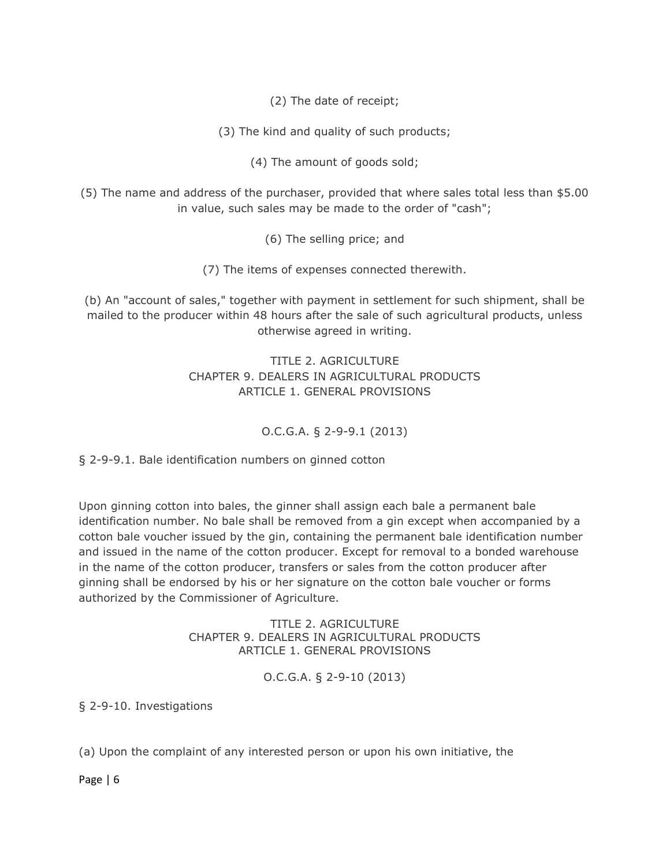(2) The date of receipt;

(3) The kind and quality of such products;

(4) The amount of goods sold;

(5) The name and address of the purchaser, provided that where sales total less than \$5.00 in value, such sales may be made to the order of "cash";

(6) The selling price; and

(7) The items of expenses connected therewith.

(b) An "account of sales," together with payment in settlement for such shipment, shall be mailed to the producer within 48 hours after the sale of such agricultural products, unless otherwise agreed in writing.

## TITLE 2. AGRICULTURE CHAPTER 9. DEALERS IN AGRICULTURAL PRODUCTS ARTICLE 1. GENERAL PROVISIONS

## O.C.G.A. § 2-9-9.1 (2013)

§ 2-9-9.1. Bale identification numbers on ginned cotton

Upon ginning cotton into bales, the ginner shall assign each bale a permanent bale identification number. No bale shall be removed from a gin except when accompanied by a cotton bale voucher issued by the gin, containing the permanent bale identification number and issued in the name of the cotton producer. Except for removal to a bonded warehouse in the name of the cotton producer, transfers or sales from the cotton producer after ginning shall be endorsed by his or her signature on the cotton bale voucher or forms authorized by the Commissioner of Agriculture.

> TITLE 2. AGRICULTURE CHAPTER 9. DEALERS IN AGRICULTURAL PRODUCTS ARTICLE 1. GENERAL PROVISIONS

> > O.C.G.A. § 2-9-10 (2013)

§ 2-9-10. Investigations

(a) Upon the complaint of any interested person or upon his own initiative, the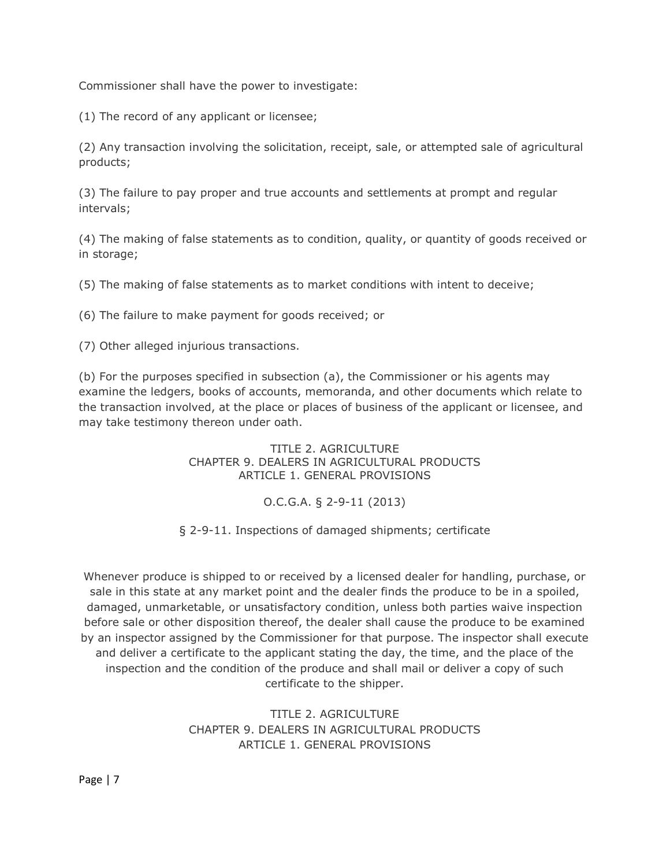Commissioner shall have the power to investigate:

(1) The record of any applicant or licensee;

(2) Any transaction involving the solicitation, receipt, sale, or attempted sale of agricultural products;

(3) The failure to pay proper and true accounts and settlements at prompt and regular intervals;

(4) The making of false statements as to condition, quality, or quantity of goods received or in storage;

(5) The making of false statements as to market conditions with intent to deceive;

(6) The failure to make payment for goods received; or

(7) Other alleged injurious transactions.

(b) For the purposes specified in subsection (a), the Commissioner or his agents may examine the ledgers, books of accounts, memoranda, and other documents which relate to the transaction involved, at the place or places of business of the applicant or licensee, and may take testimony thereon under oath.

> TITLE 2. AGRICULTURE CHAPTER 9. DEALERS IN AGRICULTURAL PRODUCTS ARTICLE 1. GENERAL PROVISIONS

> > O.C.G.A. § 2-9-11 (2013)

§ 2-9-11. Inspections of damaged shipments; certificate

Whenever produce is shipped to or received by a licensed dealer for handling, purchase, or sale in this state at any market point and the dealer finds the produce to be in a spoiled, damaged, unmarketable, or unsatisfactory condition, unless both parties waive inspection before sale or other disposition thereof, the dealer shall cause the produce to be examined by an inspector assigned by the Commissioner for that purpose. The inspector shall execute and deliver a certificate to the applicant stating the day, the time, and the place of the inspection and the condition of the produce and shall mail or deliver a copy of such certificate to the shipper.

> TITLE 2. AGRICULTURE CHAPTER 9. DEALERS IN AGRICULTURAL PRODUCTS ARTICLE 1. GENERAL PROVISIONS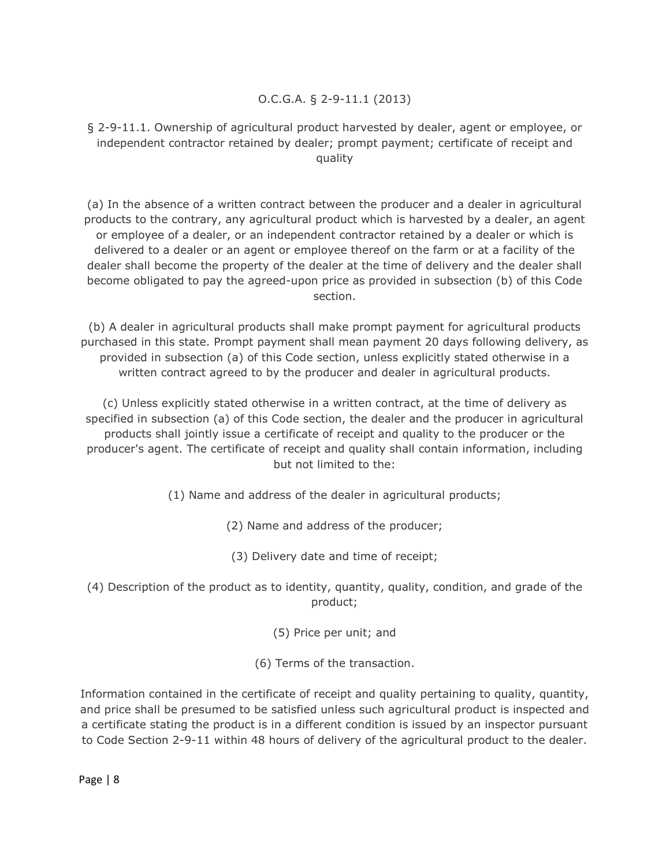## O.C.G.A. § 2-9-11.1 (2013)

### § 2-9-11.1. Ownership of agricultural product harvested by dealer, agent or employee, or independent contractor retained by dealer; prompt payment; certificate of receipt and quality

(a) In the absence of a written contract between the producer and a dealer in agricultural products to the contrary, any agricultural product which is harvested by a dealer, an agent or employee of a dealer, or an independent contractor retained by a dealer or which is delivered to a dealer or an agent or employee thereof on the farm or at a facility of the dealer shall become the property of the dealer at the time of delivery and the dealer shall become obligated to pay the agreed-upon price as provided in subsection (b) of this Code section.

(b) A dealer in agricultural products shall make prompt payment for agricultural products purchased in this state. Prompt payment shall mean payment 20 days following delivery, as provided in subsection (a) of this Code section, unless explicitly stated otherwise in a written contract agreed to by the producer and dealer in agricultural products.

(c) Unless explicitly stated otherwise in a written contract, at the time of delivery as specified in subsection (a) of this Code section, the dealer and the producer in agricultural products shall jointly issue a certificate of receipt and quality to the producer or the producer's agent. The certificate of receipt and quality shall contain information, including but not limited to the:

(1) Name and address of the dealer in agricultural products;

(2) Name and address of the producer;

(3) Delivery date and time of receipt;

(4) Description of the product as to identity, quantity, quality, condition, and grade of the product;

(5) Price per unit; and

(6) Terms of the transaction.

Information contained in the certificate of receipt and quality pertaining to quality, quantity, and price shall be presumed to be satisfied unless such agricultural product is inspected and a certificate stating the product is in a different condition is issued by an inspector pursuant to Code Section 2-9-11 within 48 hours of delivery of the agricultural product to the dealer.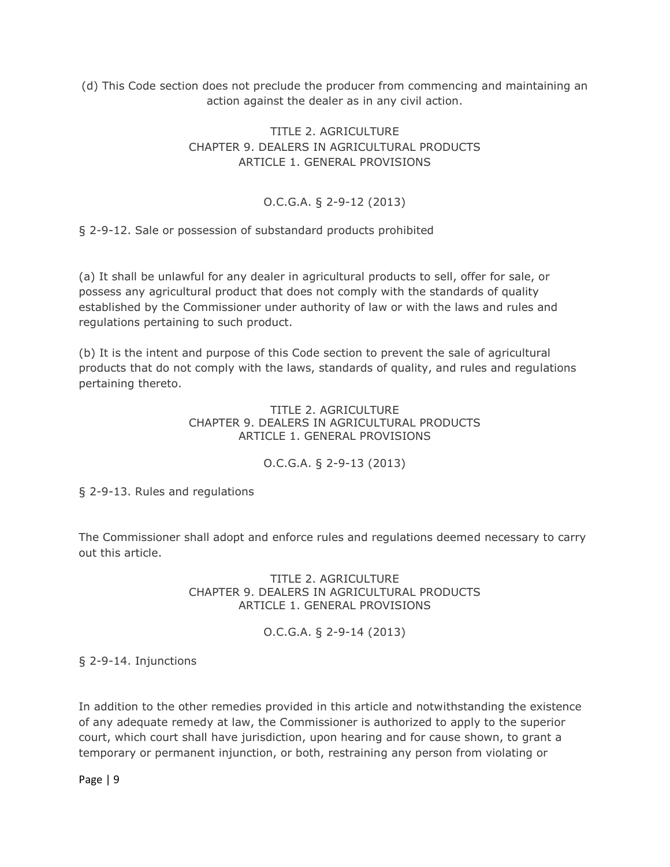(d) This Code section does not preclude the producer from commencing and maintaining an action against the dealer as in any civil action.

## TITLE 2. AGRICULTURE CHAPTER 9. DEALERS IN AGRICULTURAL PRODUCTS ARTICLE 1. GENERAL PROVISIONS

# O.C.G.A. § 2-9-12 (2013)

§ 2-9-12. Sale or possession of substandard products prohibited

(a) It shall be unlawful for any dealer in agricultural products to sell, offer for sale, or possess any agricultural product that does not comply with the standards of quality established by the Commissioner under authority of law or with the laws and rules and regulations pertaining to such product.

(b) It is the intent and purpose of this Code section to prevent the sale of agricultural products that do not comply with the laws, standards of quality, and rules and regulations pertaining thereto.

### TITLE 2. AGRICULTURE CHAPTER 9. DEALERS IN AGRICULTURAL PRODUCTS ARTICLE 1. GENERAL PROVISIONS

# O.C.G.A. § 2-9-13 (2013)

§ 2-9-13. Rules and regulations

The Commissioner shall adopt and enforce rules and regulations deemed necessary to carry out this article.

### TITLE 2. AGRICULTURE CHAPTER 9. DEALERS IN AGRICULTURAL PRODUCTS ARTICLE 1. GENERAL PROVISIONS

## O.C.G.A. § 2-9-14 (2013)

§ 2-9-14. Injunctions

In addition to the other remedies provided in this article and notwithstanding the existence of any adequate remedy at law, the Commissioner is authorized to apply to the superior court, which court shall have jurisdiction, upon hearing and for cause shown, to grant a temporary or permanent injunction, or both, restraining any person from violating or